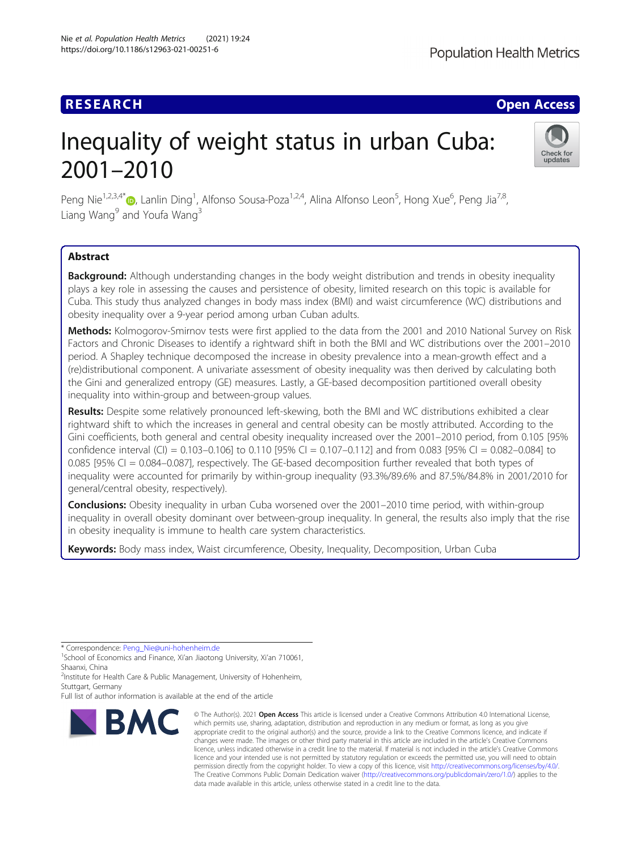# Inequality of weight status in urban Cuba: 2001–2010



Peng Nie<sup>1[,](http://orcid.org/0000-0002-5322-6324)2,3,4\*</sup> (@, Lanlin Ding<sup>1</sup>, Alfonso Sousa-Poza<sup>1,2,4</sup>, Alina Alfonso Leon<sup>5</sup>, Hong Xue<sup>6</sup>, Peng Jia<sup>7,8</sup>, Liang Wang<sup>9</sup> and Youfa Wang<sup>3</sup>

# Abstract

**Background:** Although understanding changes in the body weight distribution and trends in obesity inequality plays a key role in assessing the causes and persistence of obesity, limited research on this topic is available for Cuba. This study thus analyzed changes in body mass index (BMI) and waist circumference (WC) distributions and obesity inequality over a 9-year period among urban Cuban adults.

Methods: Kolmogorov-Smirnov tests were first applied to the data from the 2001 and 2010 National Survey on Risk Factors and Chronic Diseases to identify a rightward shift in both the BMI and WC distributions over the 2001–2010 period. A Shapley technique decomposed the increase in obesity prevalence into a mean-growth effect and a (re)distributional component. A univariate assessment of obesity inequality was then derived by calculating both the Gini and generalized entropy (GE) measures. Lastly, a GE-based decomposition partitioned overall obesity inequality into within-group and between-group values.

Results: Despite some relatively pronounced left-skewing, both the BMI and WC distributions exhibited a clear rightward shift to which the increases in general and central obesity can be mostly attributed. According to the Gini coefficients, both general and central obesity inequality increased over the 2001–2010 period, from 0.105 [95% confidence interval (CI) =  $0.103-0.106$ ] to  $0.110$  [95% CI =  $0.107-0.112$ ] and from  $0.083$  [95% CI =  $0.082-0.084$ ] to 0.085 [95% CI = 0.084–0.087], respectively. The GE-based decomposition further revealed that both types of inequality were accounted for primarily by within-group inequality (93.3%/89.6% and 87.5%/84.8% in 2001/2010 for general/central obesity, respectively).

Conclusions: Obesity inequality in urban Cuba worsened over the 2001-2010 time period, with within-group inequality in overall obesity dominant over between-group inequality. In general, the results also imply that the rise in obesity inequality is immune to health care system characteristics.

Keywords: Body mass index, Waist circumference, Obesity, Inequality, Decomposition, Urban Cuba

\* Correspondence: [Peng\\_Nie@uni-hohenheim.de](mailto:Peng_Nie@uni-hohenheim.de) <sup>1</sup>

<sup>2</sup>Institute for Health Care & Public Management, University of Hohenheim, Stuttgart, Germany

Full list of author information is available at the end of the article



<sup>©</sup> The Author(s), 2021 **Open Access** This article is licensed under a Creative Commons Attribution 4.0 International License, which permits use, sharing, adaptation, distribution and reproduction in any medium or format, as long as you give appropriate credit to the original author(s) and the source, provide a link to the Creative Commons licence, and indicate if changes were made. The images or other third party material in this article are included in the article's Creative Commons licence, unless indicated otherwise in a credit line to the material. If material is not included in the article's Creative Commons licence and your intended use is not permitted by statutory regulation or exceeds the permitted use, you will need to obtain permission directly from the copyright holder. To view a copy of this licence, visit [http://creativecommons.org/licenses/by/4.0/.](http://creativecommons.org/licenses/by/4.0/) The Creative Commons Public Domain Dedication waiver [\(http://creativecommons.org/publicdomain/zero/1.0/](http://creativecommons.org/publicdomain/zero/1.0/)) applies to the data made available in this article, unless otherwise stated in a credit line to the data.

<sup>&</sup>lt;sup>1</sup>School of Economics and Finance, Xi'an Jiaotong University, Xi'an 710061, Shaanxi, China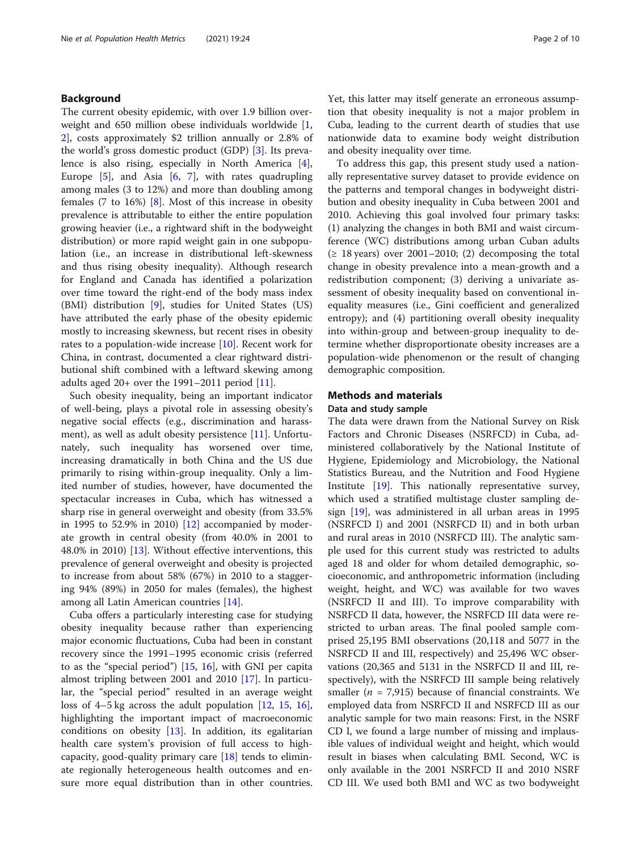# Background

The current obesity epidemic, with over 1.9 billion overweight and 650 million obese individuals worldwide [\[1](#page-8-0), [2\]](#page-8-0), costs approximately \$2 trillion annually or 2.8% of the world's gross domestic product (GDP) [[3\]](#page-8-0). Its prevalence is also rising, especially in North America [\[4](#page-8-0)], Europe  $[5]$  $[5]$ , and Asia  $[6, 7]$  $[6, 7]$  $[6, 7]$  $[6, 7]$  $[6, 7]$ , with rates quadrupling among males (3 to 12%) and more than doubling among females (7 to 16%) [[8\]](#page-8-0). Most of this increase in obesity prevalence is attributable to either the entire population growing heavier (i.e., a rightward shift in the bodyweight distribution) or more rapid weight gain in one subpopulation (i.e., an increase in distributional left-skewness and thus rising obesity inequality). Although research for England and Canada has identified a polarization over time toward the right-end of the body mass index (BMI) distribution [[9\]](#page-8-0), studies for United States (US) have attributed the early phase of the obesity epidemic mostly to increasing skewness, but recent rises in obesity rates to a population-wide increase [\[10](#page-8-0)]. Recent work for China, in contrast, documented a clear rightward distributional shift combined with a leftward skewing among adults aged  $20+$  over the 1991–2011 period  $[11]$ .

Such obesity inequality, being an important indicator of well-being, plays a pivotal role in assessing obesity's negative social effects (e.g., discrimination and harass-ment), as well as adult obesity persistence [[11\]](#page-8-0). Unfortunately, such inequality has worsened over time, increasing dramatically in both China and the US due primarily to rising within-group inequality. Only a limited number of studies, however, have documented the spectacular increases in Cuba, which has witnessed a sharp rise in general overweight and obesity (from 33.5% in 1995 to 52.9% in 2010) [[12\]](#page-8-0) accompanied by moderate growth in central obesity (from 40.0% in 2001 to 48.0% in 2010) [[13\]](#page-9-0). Without effective interventions, this prevalence of general overweight and obesity is projected to increase from about 58% (67%) in 2010 to a staggering 94% (89%) in 2050 for males (females), the highest among all Latin American countries [[14\]](#page-9-0).

Cuba offers a particularly interesting case for studying obesity inequality because rather than experiencing major economic fluctuations, Cuba had been in constant recovery since the 1991–1995 economic crisis (referred to as the "special period")  $[15, 16]$  $[15, 16]$  $[15, 16]$  $[15, 16]$  $[15, 16]$ , with GNI per capita almost tripling between 2001 and 2010 [\[17\]](#page-9-0). In particular, the "special period" resulted in an average weight loss of 4–5 kg across the adult population [[12,](#page-8-0) [15](#page-9-0), [16](#page-9-0)], highlighting the important impact of macroeconomic conditions on obesity [[13\]](#page-9-0). In addition, its egalitarian health care system's provision of full access to highcapacity, good-quality primary care [\[18](#page-9-0)] tends to eliminate regionally heterogeneous health outcomes and ensure more equal distribution than in other countries. Yet, this latter may itself generate an erroneous assumption that obesity inequality is not a major problem in Cuba, leading to the current dearth of studies that use nationwide data to examine body weight distribution and obesity inequality over time.

To address this gap, this present study used a nationally representative survey dataset to provide evidence on the patterns and temporal changes in bodyweight distribution and obesity inequality in Cuba between 2001 and 2010. Achieving this goal involved four primary tasks: (1) analyzing the changes in both BMI and waist circumference (WC) distributions among urban Cuban adults  $(≥ 18 \text{ years})$  over 2001–2010; (2) decomposing the total change in obesity prevalence into a mean-growth and a redistribution component; (3) deriving a univariate assessment of obesity inequality based on conventional inequality measures (i.e., Gini coefficient and generalized entropy); and (4) partitioning overall obesity inequality into within-group and between-group inequality to determine whether disproportionate obesity increases are a population-wide phenomenon or the result of changing demographic composition.

# Methods and materials

#### Data and study sample

The data were drawn from the National Survey on Risk Factors and Chronic Diseases (NSRFCD) in Cuba, administered collaboratively by the National Institute of Hygiene, Epidemiology and Microbiology, the National Statistics Bureau, and the Nutrition and Food Hygiene Institute [[19](#page-9-0)]. This nationally representative survey, which used a stratified multistage cluster sampling design [[19\]](#page-9-0), was administered in all urban areas in 1995 (NSRFCD I) and 2001 (NSRFCD II) and in both urban and rural areas in 2010 (NSRFCD III). The analytic sample used for this current study was restricted to adults aged 18 and older for whom detailed demographic, socioeconomic, and anthropometric information (including weight, height, and WC) was available for two waves (NSRFCD II and III). To improve comparability with NSRFCD II data, however, the NSRFCD III data were restricted to urban areas. The final pooled sample comprised 25,195 BMI observations (20,118 and 5077 in the NSRFCD II and III, respectively) and 25,496 WC observations (20,365 and 5131 in the NSRFCD II and III, respectively), with the NSRFCD III sample being relatively smaller ( $n = 7.915$ ) because of financial constraints. We employed data from NSRFCD II and NSRFCD III as our analytic sample for two main reasons: First, in the NSRF CD I, we found a large number of missing and implausible values of individual weight and height, which would result in biases when calculating BMI. Second, WC is only available in the 2001 NSRFCD II and 2010 NSRF CD III. We used both BMI and WC as two bodyweight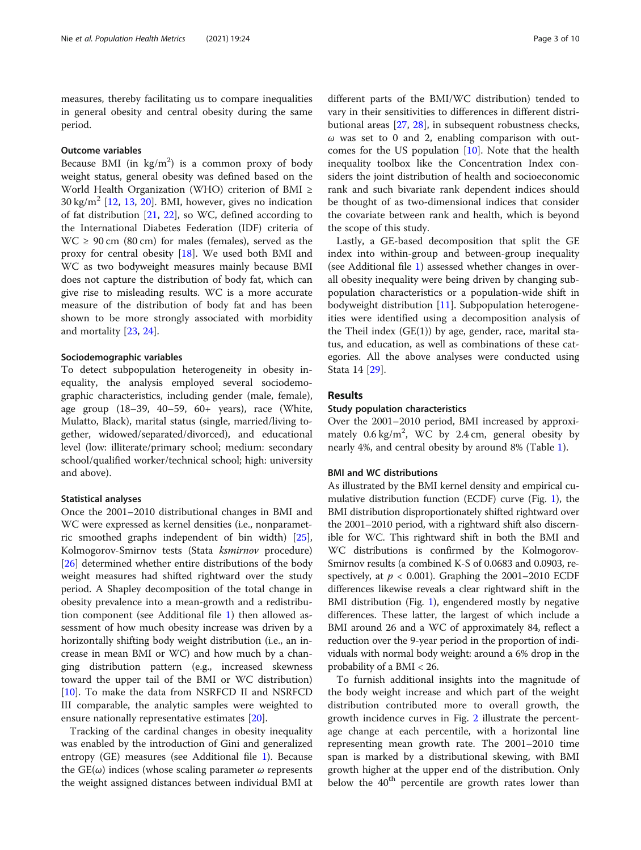measures, thereby facilitating us to compare inequalities in general obesity and central obesity during the same period.

# Outcome variables

Because BMI (in  $\text{kg/m}^2$ ) is a common proxy of body weight status, general obesity was defined based on the World Health Organization (WHO) criterion of BMI ≥  $30 \text{ kg/m}^2$  [[12,](#page-8-0) [13](#page-9-0), [20](#page-9-0)]. BMI, however, gives no indication of fat distribution [\[21](#page-9-0), [22\]](#page-9-0), so WC, defined according to the International Diabetes Federation (IDF) criteria of  $WC \ge 90$  cm (80 cm) for males (females), served as the proxy for central obesity [[18\]](#page-9-0). We used both BMI and WC as two bodyweight measures mainly because BMI does not capture the distribution of body fat, which can give rise to misleading results. WC is a more accurate measure of the distribution of body fat and has been shown to be more strongly associated with morbidity and mortality [[23,](#page-9-0) [24\]](#page-9-0).

# Sociodemographic variables

To detect subpopulation heterogeneity in obesity inequality, the analysis employed several sociodemographic characteristics, including gender (male, female), age group (18–39, 40–59, 60+ years), race (White, Mulatto, Black), marital status (single, married/living together, widowed/separated/divorced), and educational level (low: illiterate/primary school; medium: secondary school/qualified worker/technical school; high: university and above).

## Statistical analyses

Once the 2001–2010 distributional changes in BMI and WC were expressed as kernel densities (i.e., nonparametric smoothed graphs independent of bin width) [\[25](#page-9-0)], Kolmogorov-Smirnov tests (Stata ksmirnov procedure) [[26\]](#page-9-0) determined whether entire distributions of the body weight measures had shifted rightward over the study period. A Shapley decomposition of the total change in obesity prevalence into a mean-growth and a redistribution component (see Additional file [1\)](#page-8-0) then allowed assessment of how much obesity increase was driven by a horizontally shifting body weight distribution (i.e., an increase in mean BMI or WC) and how much by a changing distribution pattern (e.g., increased skewness toward the upper tail of the BMI or WC distribution) [[10\]](#page-8-0). To make the data from NSRFCD II and NSRFCD III comparable, the analytic samples were weighted to ensure nationally representative estimates [[20](#page-9-0)].

Tracking of the cardinal changes in obesity inequality was enabled by the introduction of Gini and generalized entropy (GE) measures (see Additional file [1](#page-8-0)). Because the  $GE(\omega)$  indices (whose scaling parameter  $\omega$  represents the weight assigned distances between individual BMI at

different parts of the BMI/WC distribution) tended to vary in their sensitivities to differences in different distributional areas [[27](#page-9-0), [28\]](#page-9-0), in subsequent robustness checks,  $\omega$  was set to 0 and 2, enabling comparison with outcomes for the US population [[10\]](#page-8-0). Note that the health inequality toolbox like the Concentration Index considers the joint distribution of health and socioeconomic rank and such bivariate rank dependent indices should be thought of as two-dimensional indices that consider the covariate between rank and health, which is beyond the scope of this study.

Lastly, a GE-based decomposition that split the GE index into within-group and between-group inequality (see Additional file [1\)](#page-8-0) assessed whether changes in overall obesity inequality were being driven by changing subpopulation characteristics or a population-wide shift in bodyweight distribution [[11\]](#page-8-0). Subpopulation heterogeneities were identified using a decomposition analysis of the Theil index  $(GE(1))$  by age, gender, race, marital status, and education, as well as combinations of these categories. All the above analyses were conducted using Stata 14 [[29\]](#page-9-0).

# Results

# Study population characteristics

Over the 2001–2010 period, BMI increased by approximately  $0.6 \text{ kg/m}^2$ , WC by 2.4 cm, general obesity by nearly 4%, and central obesity by around 8% (Table [1](#page-3-0)).

# BMI and WC distributions

As illustrated by the BMI kernel density and empirical cumulative distribution function (ECDF) curve (Fig. [1\)](#page-4-0), the BMI distribution disproportionately shifted rightward over the 2001–2010 period, with a rightward shift also discernible for WC. This rightward shift in both the BMI and WC distributions is confirmed by the Kolmogorov-Smirnov results (a combined K-S of 0.0683 and 0.0903, respectively, at  $p < 0.001$ ). Graphing the 2001–2010 ECDF differences likewise reveals a clear rightward shift in the BMI distribution (Fig. [1\)](#page-4-0), engendered mostly by negative differences. These latter, the largest of which include a BMI around 26 and a WC of approximately 84, reflect a reduction over the 9-year period in the proportion of individuals with normal body weight: around a 6% drop in the probability of a BMI < 26.

To furnish additional insights into the magnitude of the body weight increase and which part of the weight distribution contributed more to overall growth, the growth incidence curves in Fig. [2](#page-5-0) illustrate the percentage change at each percentile, with a horizontal line representing mean growth rate. The 2001–2010 time span is marked by a distributional skewing, with BMI growth higher at the upper end of the distribution. Only below the  $40<sup>th</sup>$  percentile are growth rates lower than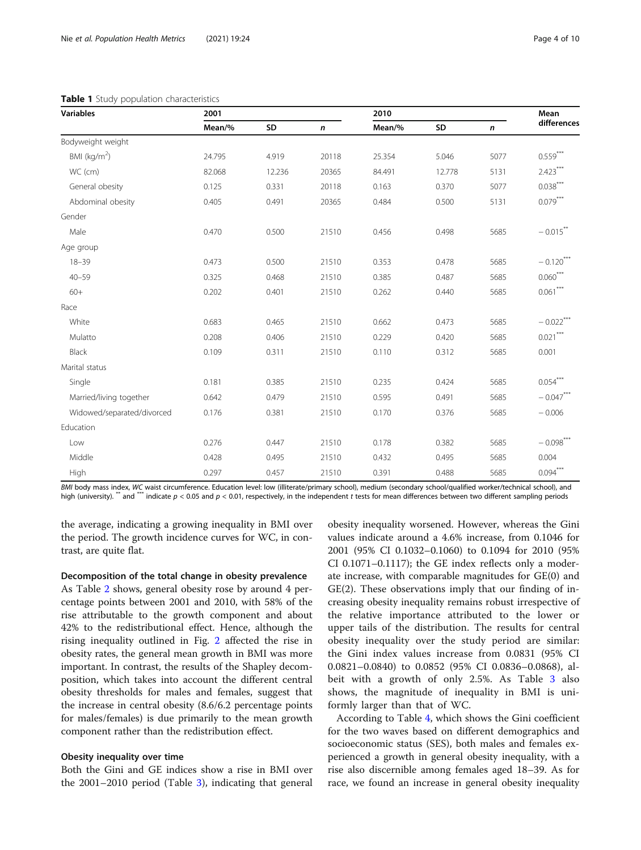| <b>Variables</b>           | 2001   |        |              | 2010   |        |           | Mean                   |
|----------------------------|--------|--------|--------------|--------|--------|-----------|------------------------|
|                            | Mean/% | SD     | $\mathsf{n}$ | Mean/% | SD     | $\pmb{n}$ | differences            |
| Bodyweight weight          |        |        |              |        |        |           |                        |
| BMI ( $kg/m2$ )            | 24.795 | 4.919  | 20118        | 25.354 | 5.046  | 5077      | $0.559***$             |
| WC (cm)                    | 82.068 | 12.236 | 20365        | 84.491 | 12.778 | 5131      | $2.423***$             |
| General obesity            | 0.125  | 0.331  | 20118        | 0.163  | 0.370  | 5077      | $0.038***$             |
| Abdominal obesity          | 0.405  | 0.491  | 20365        | 0.484  | 0.500  | 5131      | $0.079***$             |
| Gender                     |        |        |              |        |        |           |                        |
| Male                       | 0.470  | 0.500  | 21510        | 0.456  | 0.498  | 5685      | $-0.015$ <sup>**</sup> |
| Age group                  |        |        |              |        |        |           |                        |
| $18 - 39$                  | 0.473  | 0.500  | 21510        | 0.353  | 0.478  | 5685      | $-0.120***$            |
| $40 - 59$                  | 0.325  | 0.468  | 21510        | 0.385  | 0.487  | 5685      | $0.060***$             |
| $60+$                      | 0.202  | 0.401  | 21510        | 0.262  | 0.440  | 5685      | $0.061***$             |
| Race                       |        |        |              |        |        |           |                        |
| White                      | 0.683  | 0.465  | 21510        | 0.662  | 0.473  | 5685      | $-0.022$ <sup>**</sup> |
| Mulatto                    | 0.208  | 0.406  | 21510        | 0.229  | 0.420  | 5685      | $0.021***$             |
| Black                      | 0.109  | 0.311  | 21510        | 0.110  | 0.312  | 5685      | 0.001                  |
| Marital status             |        |        |              |        |        |           |                        |
| Single                     | 0.181  | 0.385  | 21510        | 0.235  | 0.424  | 5685      | $0.054***$             |
| Married/living together    | 0.642  | 0.479  | 21510        | 0.595  | 0.491  | 5685      | $-0.047***$            |
| Widowed/separated/divorced | 0.176  | 0.381  | 21510        | 0.170  | 0.376  | 5685      | $-0.006$               |
| Education                  |        |        |              |        |        |           |                        |
| Low                        | 0.276  | 0.447  | 21510        | 0.178  | 0.382  | 5685      | $-0.098***$            |
| Middle                     | 0.428  | 0.495  | 21510        | 0.432  | 0.495  | 5685      | 0.004                  |
| High                       | 0.297  | 0.457  | 21510        | 0.391  | 0.488  | 5685      | $0.094***$             |

#### <span id="page-3-0"></span>Table 1 Study population characteristics

BMI body mass index, WC waist circumference. Education level: low (illiterate/primary school), medium (secondary school/qualified worker/technical school), and high (university). \*\* and \*\*\* indicate  $p < 0.05$  and  $p < 0.01$ , respectively, in the independent t tests for mean differences between two different sampling periods

the average, indicating a growing inequality in BMI over the period. The growth incidence curves for WC, in contrast, are quite flat.

#### Decomposition of the total change in obesity prevalence

As Table [2](#page-5-0) shows, general obesity rose by around 4 percentage points between 2001 and 2010, with 58% of the rise attributable to the growth component and about 42% to the redistributional effect. Hence, although the rising inequality outlined in Fig. [2](#page-5-0) affected the rise in obesity rates, the general mean growth in BMI was more important. In contrast, the results of the Shapley decomposition, which takes into account the different central obesity thresholds for males and females, suggest that the increase in central obesity (8.6/6.2 percentage points for males/females) is due primarily to the mean growth component rather than the redistribution effect.

# Obesity inequality over time

Both the Gini and GE indices show a rise in BMI over the 2001–2010 period (Table [3\)](#page-6-0), indicating that general

obesity inequality worsened. However, whereas the Gini values indicate around a 4.6% increase, from 0.1046 for 2001 (95% CI 0.1032–0.1060) to 0.1094 for 2010 (95% CI 0.1071–0.1117); the GE index reflects only a moderate increase, with comparable magnitudes for GE(0) and GE(2). These observations imply that our finding of increasing obesity inequality remains robust irrespective of the relative importance attributed to the lower or upper tails of the distribution. The results for central obesity inequality over the study period are similar: the Gini index values increase from 0.0831 (95% CI 0.0821–0.0840) to 0.0852 (95% CI 0.0836–0.0868), albeit with a growth of only 2.5%. As Table [3](#page-6-0) also shows, the magnitude of inequality in BMI is uniformly larger than that of WC.

According to Table [4,](#page-6-0) which shows the Gini coefficient for the two waves based on different demographics and socioeconomic status (SES), both males and females experienced a growth in general obesity inequality, with a rise also discernible among females aged 18–39. As for race, we found an increase in general obesity inequality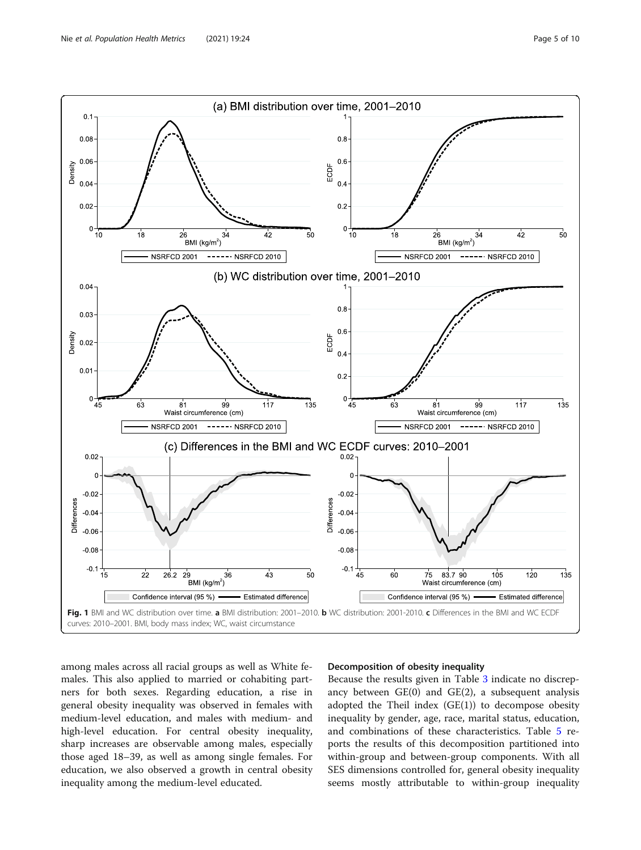<span id="page-4-0"></span>

among males across all racial groups as well as White females. This also applied to married or cohabiting partners for both sexes. Regarding education, a rise in general obesity inequality was observed in females with medium-level education, and males with medium- and high-level education. For central obesity inequality, sharp increases are observable among males, especially those aged 18–39, as well as among single females. For education, we also observed a growth in central obesity inequality among the medium-level educated.

# Decomposition of obesity inequality

Because the results given in Table [3](#page-6-0) indicate no discrepancy between GE(0) and GE(2), a subsequent analysis adopted the Theil index  $(GE(1))$  to decompose obesity inequality by gender, age, race, marital status, education, and combinations of these characteristics. Table [5](#page-7-0) reports the results of this decomposition partitioned into within-group and between-group components. With all SES dimensions controlled for, general obesity inequality seems mostly attributable to within-group inequality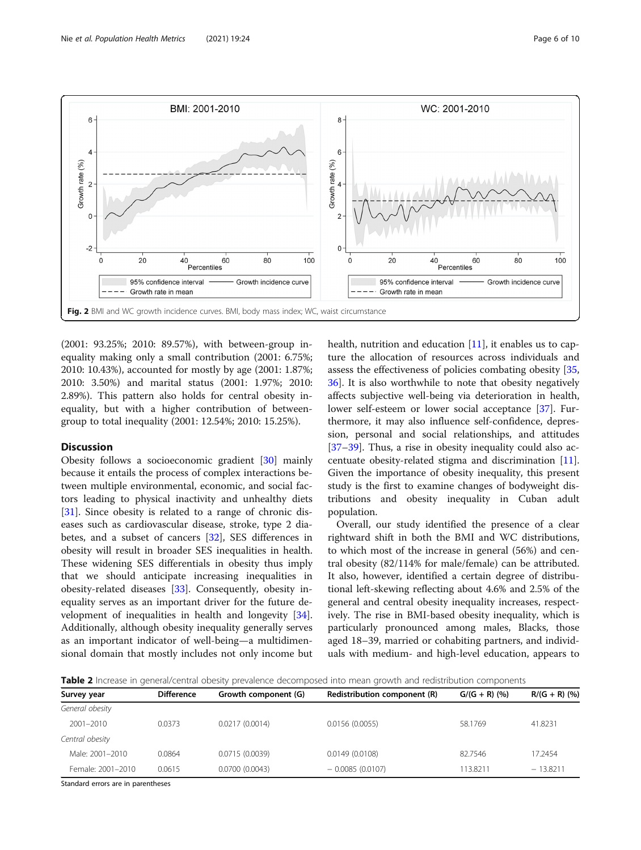<span id="page-5-0"></span>

(2001: 93.25%; 2010: 89.57%), with between-group inequality making only a small contribution (2001: 6.75%; 2010: 10.43%), accounted for mostly by age (2001: 1.87%; 2010: 3.50%) and marital status (2001: 1.97%; 2010: 2.89%). This pattern also holds for central obesity inequality, but with a higher contribution of betweengroup to total inequality (2001: 12.54%; 2010: 15.25%).

# Discussion

Obesity follows a socioeconomic gradient [[30\]](#page-9-0) mainly because it entails the process of complex interactions between multiple environmental, economic, and social factors leading to physical inactivity and unhealthy diets [[31\]](#page-9-0). Since obesity is related to a range of chronic diseases such as cardiovascular disease, stroke, type 2 diabetes, and a subset of cancers [\[32\]](#page-9-0), SES differences in obesity will result in broader SES inequalities in health. These widening SES differentials in obesity thus imply that we should anticipate increasing inequalities in obesity-related diseases [\[33](#page-9-0)]. Consequently, obesity inequality serves as an important driver for the future development of inequalities in health and longevity [\[34](#page-9-0)]. Additionally, although obesity inequality generally serves as an important indicator of well-being—a multidimensional domain that mostly includes not only income but health, nutrition and education  $[11]$  $[11]$ , it enables us to capture the allocation of resources across individuals and assess the effectiveness of policies combating obesity [[35](#page-9-0), [36\]](#page-9-0). It is also worthwhile to note that obesity negatively affects subjective well-being via deterioration in health, lower self-esteem or lower social acceptance [\[37](#page-9-0)]. Furthermore, it may also influence self-confidence, depression, personal and social relationships, and attitudes [[37](#page-9-0)–[39](#page-9-0)]. Thus, a rise in obesity inequality could also accentuate obesity-related stigma and discrimination [\[11](#page-8-0)]. Given the importance of obesity inequality, this present study is the first to examine changes of bodyweight distributions and obesity inequality in Cuban adult population.

Overall, our study identified the presence of a clear rightward shift in both the BMI and WC distributions, to which most of the increase in general (56%) and central obesity (82/114% for male/female) can be attributed. It also, however, identified a certain degree of distributional left-skewing reflecting about 4.6% and 2.5% of the general and central obesity inequality increases, respectively. The rise in BMI-based obesity inequality, which is particularly pronounced among males, Blacks, those aged 18–39, married or cohabiting partners, and individuals with medium- and high-level education, appears to

Table 2 Increase in general/central obesity prevalence decomposed into mean growth and redistribution components

| Survey year                        | <b>Difference</b> | Growth component (G) | Redistribution component (R) | $G/(G + R)$ (%) | $R/(G + R)(%$ |
|------------------------------------|-------------------|----------------------|------------------------------|-----------------|---------------|
| General obesity                    |                   |                      |                              |                 |               |
| $2001 - 2010$                      | 0.0373            | 0.0217(0.0014)       | 0.0156(0.0055)               | 58.1769         | 41.8231       |
| Central obesity                    |                   |                      |                              |                 |               |
| Male: 2001-2010                    | 0.0864            | 0.0715(0.0039)       | 0.0149(0.0108)               | 82.7546         | 17.2454       |
| Female: 2001-2010                  | 0.0615            | 0.0700(0.0043)       | $-0.0085(0.0107)$            | 113.8211        | $-13.8211$    |
| Ctandard arrare are in naronthoses |                   |                      |                              |                 |               |

Standard errors are in parentheses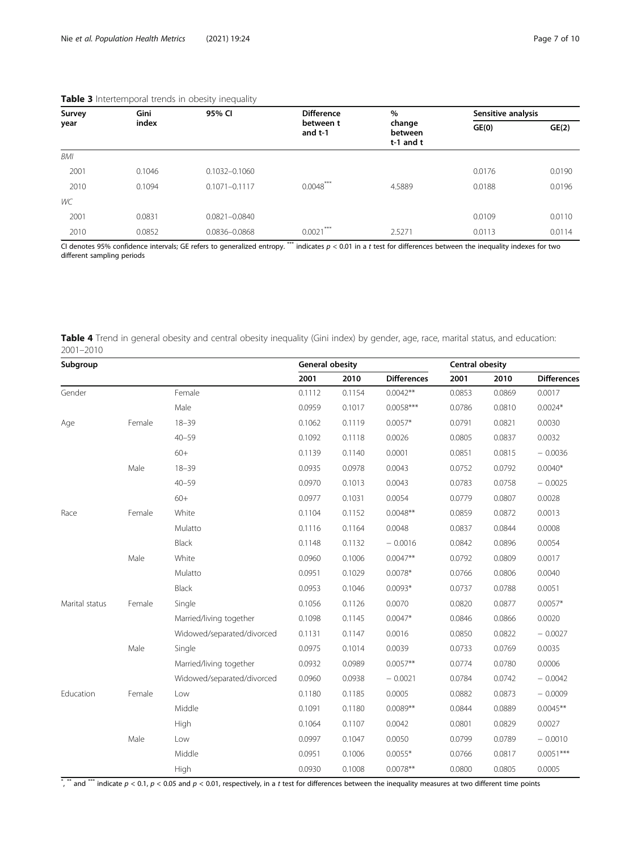| Survey | Gini   | 95% CI            | <b>Difference</b>    | %                                  | Sensitive analysis |        |
|--------|--------|-------------------|----------------------|------------------------------------|--------------------|--------|
| year   | index  |                   | between t<br>and t-1 | change<br>between<br>$t-1$ and $t$ | GE(0)              | GE(2)  |
| BMI    |        |                   |                      |                                    |                    |        |
| 2001   | 0.1046 | 0.1032-0.1060     |                      |                                    | 0.0176             | 0.0190 |
| 2010   | 0.1094 | $0.1071 - 0.1117$ | $0.0048***$          | 4.5889                             | 0.0188             | 0.0196 |
| WC     |        |                   |                      |                                    |                    |        |
| 2001   | 0.0831 | 0.0821-0.0840     |                      |                                    | 0.0109             | 0.0110 |
| 2010   | 0.0852 | 0.0836-0.0868     | $***$<br>0.0021      | 2.5271                             | 0.0113             | 0.0114 |

# <span id="page-6-0"></span>Table 3 Intertemporal trends in obesity inequality

CI denotes 95% confidence intervals; GE refers to generalized entropy. \*\*\* indicates  $p < 0.01$  in a t test for differences between the inequality indexes for two different sampling periods

| Table 4 Trend in general obesity and central obesity inequality (Gini index) by gender, age, race, marital status, and education: |  |  |  |
|-----------------------------------------------------------------------------------------------------------------------------------|--|--|--|
| 2001-2010                                                                                                                         |  |  |  |

| Subgroup       |        |                            |        | <b>General obesity</b> |                    |        | <b>Central obesity</b> |                    |  |
|----------------|--------|----------------------------|--------|------------------------|--------------------|--------|------------------------|--------------------|--|
|                |        |                            | 2001   | 2010                   | <b>Differences</b> | 2001   | 2010                   | <b>Differences</b> |  |
| Gender         |        | Female                     | 0.1112 | 0.1154                 | $0.0042**$         | 0.0853 | 0.0869                 | 0.0017             |  |
|                |        | Male                       | 0.0959 | 0.1017                 | $0.0058***$        | 0.0786 | 0.0810                 | $0.0024*$          |  |
| Age            | Female | $18 - 39$                  | 0.1062 | 0.1119                 | $0.0057*$          | 0.0791 | 0.0821                 | 0.0030             |  |
|                |        | $40 - 59$                  | 0.1092 | 0.1118                 | 0.0026             | 0.0805 | 0.0837                 | 0.0032             |  |
|                |        | $60+$                      | 0.1139 | 0.1140                 | 0.0001             | 0.0851 | 0.0815                 | $-0.0036$          |  |
|                | Male   | $18 - 39$                  | 0.0935 | 0.0978                 | 0.0043             | 0.0752 | 0.0792                 | $0.0040*$          |  |
|                |        | $40 - 59$                  | 0.0970 | 0.1013                 | 0.0043             | 0.0783 | 0.0758                 | $-0.0025$          |  |
|                |        | $60+$                      | 0.0977 | 0.1031                 | 0.0054             | 0.0779 | 0.0807                 | 0.0028             |  |
| Race           | Female | White                      | 0.1104 | 0.1152                 | $0.0048**$         | 0.0859 | 0.0872                 | 0.0013             |  |
|                |        | Mulatto                    | 0.1116 | 0.1164                 | 0.0048             | 0.0837 | 0.0844                 | 0.0008             |  |
|                |        | Black                      | 0.1148 | 0.1132                 | $-0.0016$          | 0.0842 | 0.0896                 | 0.0054             |  |
|                | Male   | White                      | 0.0960 | 0.1006                 | $0.0047**$         | 0.0792 | 0.0809                 | 0.0017             |  |
|                |        | Mulatto                    | 0.0951 | 0.1029                 | $0.0078*$          | 0.0766 | 0.0806                 | 0.0040             |  |
|                |        | Black                      | 0.0953 | 0.1046                 | $0.0093*$          | 0.0737 | 0.0788                 | 0.0051             |  |
| Marital status | Female | Single                     | 0.1056 | 0.1126                 | 0.0070             | 0.0820 | 0.0877                 | $0.0057*$          |  |
|                |        | Married/living together    | 0.1098 | 0.1145                 | $0.0047*$          | 0.0846 | 0.0866                 | 0.0020             |  |
|                |        | Widowed/separated/divorced | 0.1131 | 0.1147                 | 0.0016             | 0.0850 | 0.0822                 | $-0.0027$          |  |
|                | Male   | Single                     | 0.0975 | 0.1014                 | 0.0039             | 0.0733 | 0.0769                 | 0.0035             |  |
|                |        | Married/living together    | 0.0932 | 0.0989                 | $0.0057**$         | 0.0774 | 0.0780                 | 0.0006             |  |
|                |        | Widowed/separated/divorced | 0.0960 | 0.0938                 | $-0.0021$          | 0.0784 | 0.0742                 | $-0.0042$          |  |
| Education      | Female | Low                        | 0.1180 | 0.1185                 | 0.0005             | 0.0882 | 0.0873                 | $-0.0009$          |  |
|                |        | Middle                     | 0.1091 | 0.1180                 | $0.0089**$         | 0.0844 | 0.0889                 | $0.0045**$         |  |
|                |        | High                       | 0.1064 | 0.1107                 | 0.0042             | 0.0801 | 0.0829                 | 0.0027             |  |
|                | Male   | Low                        | 0.0997 | 0.1047                 | 0.0050             | 0.0799 | 0.0789                 | $-0.0010$          |  |
|                |        | Middle                     | 0.0951 | 0.1006                 | $0.0055*$          | 0.0766 | 0.0817                 | $0.0051***$        |  |
|                |        | High                       | 0.0930 | 0.1008                 | $0.0078**$         | 0.0800 | 0.0805                 | 0.0005             |  |

 $^*$ ,  $^*$  and  $^{**}$  indicate  $p < 0.1$ ,  $p < 0.05$  and  $p < 0.01$ , respectively, in a t test for differences between the inequality measures at two different time points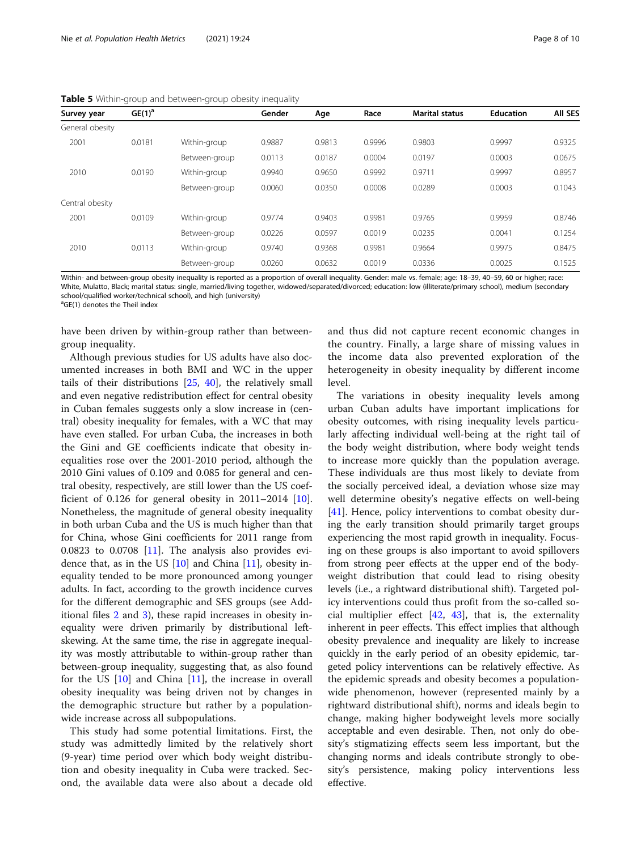| Survey year     | $GE(1)^a$ |               | Gender | Age    | Race   | <b>Marital status</b> | <b>Education</b> | <b>AII SES</b> |
|-----------------|-----------|---------------|--------|--------|--------|-----------------------|------------------|----------------|
| General obesity |           |               |        |        |        |                       |                  |                |
| 2001            | 0.0181    | Within-group  | 0.9887 | 0.9813 | 0.9996 | 0.9803                | 0.9997           | 0.9325         |
|                 |           | Between-group | 0.0113 | 0.0187 | 0.0004 | 0.0197                | 0.0003           | 0.0675         |
| 2010            | 0.0190    | Within-group  | 0.9940 | 0.9650 | 0.9992 | 0.9711                | 0.9997           | 0.8957         |
|                 |           | Between-group | 0.0060 | 0.0350 | 0.0008 | 0.0289                | 0.0003           | 0.1043         |
| Central obesity |           |               |        |        |        |                       |                  |                |
| 2001            | 0.0109    | Within-group  | 0.9774 | 0.9403 | 0.9981 | 0.9765                | 0.9959           | 0.8746         |
|                 |           | Between-group | 0.0226 | 0.0597 | 0.0019 | 0.0235                | 0.0041           | 0.1254         |
| 2010            | 0.0113    | Within-group  | 0.9740 | 0.9368 | 0.9981 | 0.9664                | 0.9975           | 0.8475         |
|                 |           | Between-group | 0.0260 | 0.0632 | 0.0019 | 0.0336                | 0.0025           | 0.1525         |

<span id="page-7-0"></span>Table 5 Within-group and between-group obesity inequality

Within- and between-group obesity inequality is reported as a proportion of overall inequality. Gender: male vs. female; age: 18–39, 40–59, 60 or higher; race: White, Mulatto, Black; marital status: single, married/living together, widowed/separated/divorced; education: low (illiterate/primary school), medium (secondary school/qualified worker/technical school), and high (university)

<sup>a</sup>GE(1) denotes the Theil index

have been driven by within-group rather than betweengroup inequality.

Although previous studies for US adults have also documented increases in both BMI and WC in the upper tails of their distributions [[25](#page-9-0), [40](#page-9-0)], the relatively small and even negative redistribution effect for central obesity in Cuban females suggests only a slow increase in (central) obesity inequality for females, with a WC that may have even stalled. For urban Cuba, the increases in both the Gini and GE coefficients indicate that obesity inequalities rose over the 2001-2010 period, although the 2010 Gini values of 0.109 and 0.085 for general and central obesity, respectively, are still lower than the US coefficient of 0.126 for general obesity in  $2011-2014$  [\[10](#page-8-0)]. Nonetheless, the magnitude of general obesity inequality in both urban Cuba and the US is much higher than that for China, whose Gini coefficients for 2011 range from 0.0823 to 0.0708 [[11\]](#page-8-0). The analysis also provides evidence that, as in the US  $[10]$  and China  $[11]$  $[11]$  $[11]$ , obesity inequality tended to be more pronounced among younger adults. In fact, according to the growth incidence curves for the different demographic and SES groups (see Additional files [2](#page-8-0) and [3](#page-8-0)), these rapid increases in obesity inequality were driven primarily by distributional leftskewing. At the same time, the rise in aggregate inequality was mostly attributable to within-group rather than between-group inequality, suggesting that, as also found for the US [\[10](#page-8-0)] and China [\[11](#page-8-0)], the increase in overall obesity inequality was being driven not by changes in the demographic structure but rather by a populationwide increase across all subpopulations.

This study had some potential limitations. First, the study was admittedly limited by the relatively short (9-year) time period over which body weight distribution and obesity inequality in Cuba were tracked. Second, the available data were also about a decade old

and thus did not capture recent economic changes in the country. Finally, a large share of missing values in the income data also prevented exploration of the heterogeneity in obesity inequality by different income level.

The variations in obesity inequality levels among urban Cuban adults have important implications for obesity outcomes, with rising inequality levels particularly affecting individual well-being at the right tail of the body weight distribution, where body weight tends to increase more quickly than the population average. These individuals are thus most likely to deviate from the socially perceived ideal, a deviation whose size may well determine obesity's negative effects on well-being [[41\]](#page-9-0). Hence, policy interventions to combat obesity during the early transition should primarily target groups experiencing the most rapid growth in inequality. Focusing on these groups is also important to avoid spillovers from strong peer effects at the upper end of the bodyweight distribution that could lead to rising obesity levels (i.e., a rightward distributional shift). Targeted policy interventions could thus profit from the so-called social multiplier effect  $[42, 43]$  $[42, 43]$  $[42, 43]$  $[42, 43]$  $[42, 43]$ , that is, the externality inherent in peer effects. This effect implies that although obesity prevalence and inequality are likely to increase quickly in the early period of an obesity epidemic, targeted policy interventions can be relatively effective. As the epidemic spreads and obesity becomes a populationwide phenomenon, however (represented mainly by a rightward distributional shift), norms and ideals begin to change, making higher bodyweight levels more socially acceptable and even desirable. Then, not only do obesity's stigmatizing effects seem less important, but the changing norms and ideals contribute strongly to obesity's persistence, making policy interventions less effective.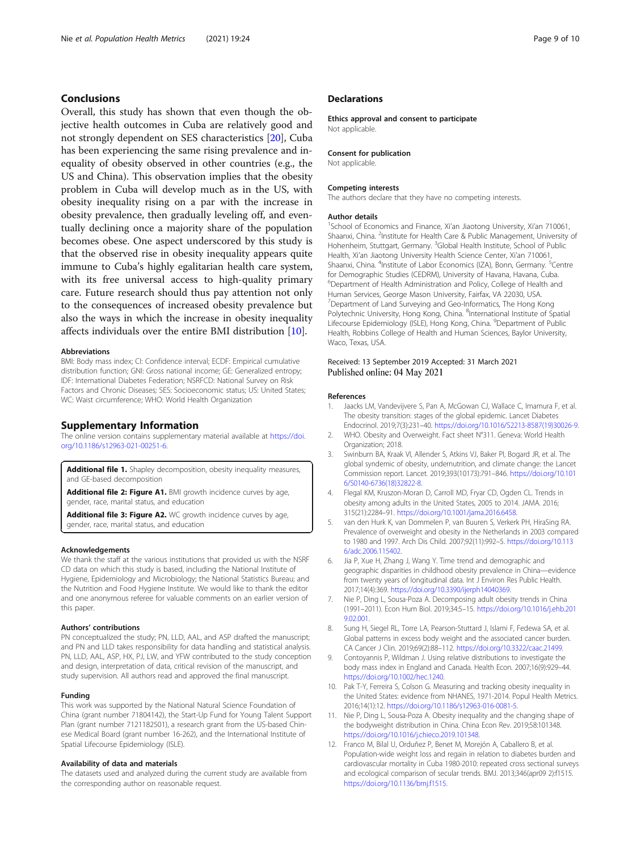# <span id="page-8-0"></span>Conclusions

Overall, this study has shown that even though the objective health outcomes in Cuba are relatively good and not strongly dependent on SES characteristics [\[20\]](#page-9-0), Cuba has been experiencing the same rising prevalence and inequality of obesity observed in other countries (e.g., the US and China). This observation implies that the obesity problem in Cuba will develop much as in the US, with obesity inequality rising on a par with the increase in obesity prevalence, then gradually leveling off, and eventually declining once a majority share of the population becomes obese. One aspect underscored by this study is that the observed rise in obesity inequality appears quite immune to Cuba's highly egalitarian health care system, with its free universal access to high-quality primary care. Future research should thus pay attention not only to the consequences of increased obesity prevalence but also the ways in which the increase in obesity inequality affects individuals over the entire BMI distribution [10].

# Abbreviations

BMI: Body mass index; CI: Confidence interval; ECDF: Empirical cumulative distribution function; GNI: Gross national income; GE: Generalized entropy; IDF: International Diabetes Federation; NSRFCD: National Survey on Risk Factors and Chronic Diseases; SES: Socioeconomic status; US: United States; WC: Waist circumference; WHO: World Health Organization

#### Supplementary Information

The online version contains supplementary material available at [https://doi.](https://doi.org/10.1186/s12963-021-00251-6) [org/10.1186/s12963-021-00251-6.](https://doi.org/10.1186/s12963-021-00251-6)

Additional file 1. Shapley decomposition, obesity inequality measures, and GE-based decomposition

Additional file 2: Figure A1. BMI growth incidence curves by age, gender, race, marital status, and education

Additional file 3: Figure A2. WC growth incidence curves by age, gender, race, marital status, and education

#### Acknowledgements

We thank the staff at the various institutions that provided us with the NSRF CD data on which this study is based, including the National Institute of Hygiene, Epidemiology and Microbiology; the National Statistics Bureau; and the Nutrition and Food Hygiene Institute. We would like to thank the editor and one anonymous referee for valuable comments on an earlier version of this paper.

#### Authors' contributions

PN conceptualized the study; PN, LLD, AAL, and ASP drafted the manuscript; and PN and LLD takes responsibility for data handling and statistical analysis. PN, LLD, AAL, ASP, HX, PJ, LW, and YFW contributed to the study conception and design, interpretation of data, critical revision of the manuscript, and study supervision. All authors read and approved the final manuscript.

# Funding

This work was supported by the National Natural Science Foundation of China (grant number 71804142), the Start-Up Fund for Young Talent Support Plan (grant number 7121182501), a research grant from the US-based Chinese Medical Board (grant number 16-262), and the International Institute of Spatial Lifecourse Epidemiology (ISLE).

#### Availability of data and materials

The datasets used and analyzed during the current study are available from the corresponding author on reasonable request.

# **Declarations**

Ethics approval and consent to participate Not applicable.

#### Consent for publication

Not applicable.

#### Competing interests

The authors declare that they have no competing interests.

## Author details

<sup>1</sup>School of Economics and Finance, Xi'an Jiaotong University, Xi'an 710061, Shaanxi, China. <sup>2</sup>Institute for Health Care & Public Management, University of Hohenheim, Stuttgart, Germany. <sup>3</sup>Global Health Institute, School of Public Health, Xi'an Jiaotong University Health Science Center, Xi'an 710061, Shaanxi, China. <sup>4</sup>Institute of Labor Economics (IZA), Bonn, Germany. <sup>5</sup>Centre for Demographic Studies (CEDRM), University of Havana, Havana, Cuba. 6 Department of Health Administration and Policy, College of Health and Human Services, George Mason University, Fairfax, VA 22030, USA. 7 Department of Land Surveying and Geo-Informatics, The Hong Kong Polytechnic University, Hong Kong, China. <sup>8</sup>International Institute of Spatial Lifecourse Epidemiology (ISLE), Hong Kong, China. <sup>9</sup>Department of Public Health, Robbins College of Health and Human Sciences, Baylor University, Waco, Texas, USA.

# Received: 13 September 2019 Accepted: 31 March 2021 Published online: 04 May 2021

#### References

- Jaacks LM, Vandevijvere S, Pan A, McGowan CJ, Wallace C, Imamura F, et al. The obesity transition: stages of the global epidemic. Lancet Diabetes Endocrinol. 2019;7(3):231–40. [https://doi.org/10.1016/S2213-8587\(19\)30026-9.](https://doi.org/10.1016/S2213-8587(19)30026-9)
- 2. WHO. Obesity and Overweight. Fact sheet N°311. Geneva: World Health Organization; 2018.
- 3. Swinburn BA, Kraak VI, Allender S, Atkins VJ, Baker PI, Bogard JR, et al. The global syndemic of obesity, undernutrition, and climate change: the Lancet Commission report. Lancet. 2019;393(10173):791–846. [https://doi.org/10.101](https://doi.org/10.1016/S0140-6736(18)32822-8) [6/S0140-6736\(18\)32822-8](https://doi.org/10.1016/S0140-6736(18)32822-8).
- 4. Flegal KM, Kruszon-Moran D, Carroll MD, Fryar CD, Ogden CL. Trends in obesity among adults in the United States, 2005 to 2014. JAMA. 2016; 315(21):2284–91. [https://doi.org/10.1001/jama.2016.6458.](https://doi.org/10.1001/jama.2016.6458)
- 5. van den Hurk K, van Dommelen P, van Buuren S, Verkerk PH, HiraSing RA. Prevalence of overweight and obesity in the Netherlands in 2003 compared to 1980 and 1997. Arch Dis Child. 2007;92(11):992–5. [https://doi.org/10.113](https://doi.org/10.1136/adc.2006.115402) [6/adc.2006.115402](https://doi.org/10.1136/adc.2006.115402).
- Jia P, Xue H, Zhang J, Wang Y. Time trend and demographic and geographic disparities in childhood obesity prevalence in China—evidence from twenty years of longitudinal data. Int J Environ Res Public Health. 2017;14(4):369. [https://doi.org/10.3390/ijerph14040369.](https://doi.org/10.3390/ijerph14040369)
- 7. Nie P, Ding L, Sousa-Poza A. Decomposing adult obesity trends in China (1991–2011). Econ Hum Biol. 2019;34:5–15. [https://doi.org/10.1016/j.ehb.201](https://doi.org/10.1016/j.ehb.2019.02.001) [9.02.001.](https://doi.org/10.1016/j.ehb.2019.02.001)
- 8. Sung H, Siegel RL, Torre LA, Pearson-Stuttard J, Islami F, Fedewa SA, et al. Global patterns in excess body weight and the associated cancer burden. CA Cancer J Clin. 2019;69(2):88–112. <https://doi.org/10.3322/caac.21499>.
- 9. Contoyannis P, Wildman J. Using relative distributions to investigate the body mass index in England and Canada. Health Econ. 2007;16(9):929–44. <https://doi.org/10.1002/hec.1240>.
- 10. Pak T-Y, Ferreira S, Colson G. Measuring and tracking obesity inequality in the United States: evidence from NHANES, 1971-2014. Popul Health Metrics. 2016;14(1):12. <https://doi.org/10.1186/s12963-016-0081-5>.
- 11. Nie P, Ding L, Sousa-Poza A. Obesity inequality and the changing shape of the bodyweight distribution in China. China Econ Rev. 2019;58:101348. [https://doi.org/10.1016/j.chieco.2019.101348.](https://doi.org/10.1016/j.chieco.2019.101348)
- 12. Franco M, Bilal U, Orduñez P, Benet M, Morejón A, Caballero B, et al. Population-wide weight loss and regain in relation to diabetes burden and cardiovascular mortality in Cuba 1980-2010: repeated cross sectional surveys and ecological comparison of secular trends. BMJ. 2013;346(apr09 2):f1515. [https://doi.org/10.1136/bmj.f1515.](https://doi.org/10.1136/bmj.f1515)